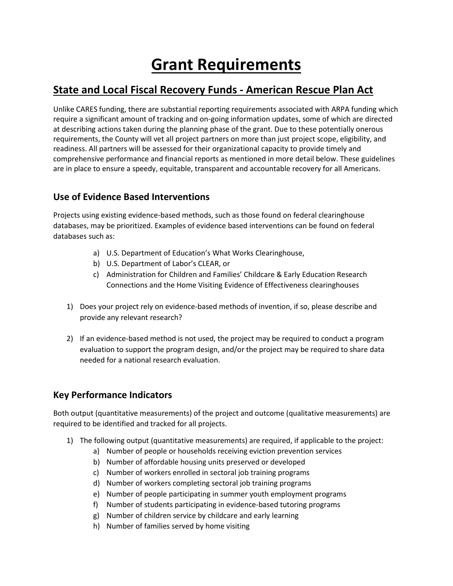# **Grant Requirements**

# **State and Local Fiscal Recovery Funds - American Rescue Plan Act**

Unlike CARES funding, there are substantial reporting requirements associated with ARPA funding which require a significant amount of tracking and on-going information updates, some of which are directed at describing actions taken during the planning phase of the grant. Due to these potentially onerous requirements, the County will vet all project partners on more than just project scope, eligibility, and readiness. All partners will be assessed for their organizational capacity to provide timely and comprehensive performance and financial reports as mentioned in more detail below. These guidelines are in place to ensure a speedy, equitable, transparent and accountable recovery for all Americans.

# **Use of Evidence Based Interventions**

Projects using existing evidence-based methods, such as those found on federal clearinghouse databases, may be prioritized. Examples of evidence based interventions can be found on federal databases such as:

- a) U.S. Department of Education's What Works Clearinghouse,
- b) U.S. Department of Labor's CLEAR, or
- c) Administration for Children and Families' Childcare & Early Education Research Connections and the Home Visiting Evidence of Effectiveness clearinghouses
- 1) Does your project rely on evidence-based methods of invention, if so, please describe and provide any relevant research?
- 2) If an evidence-based method is not used, the project may be required to conduct a program evaluation to support the program design, and/or the project may be required to share data needed for a national research evaluation.

# **Key Performance Indicators**

Both output (quantitative measurements) of the project and outcome (qualitative measurements) are required to be identified and tracked for all projects.

- 1) The following output (quantitative measurements) are required, if applicable to the project:
	- a) Number of people or households receiving eviction prevention services
	- b) Number of affordable housing units preserved or developed
	- c) Number of workers enrolled in sectoral job training programs
	- d) Number of workers completing sectoral job training programs
	- e) Number of people participating in summer youth employment programs
	- f) Number of students participating in evidence-based tutoring programs
	- g) Number of children service by childcare and early learning
	- h) Number of families served by home visiting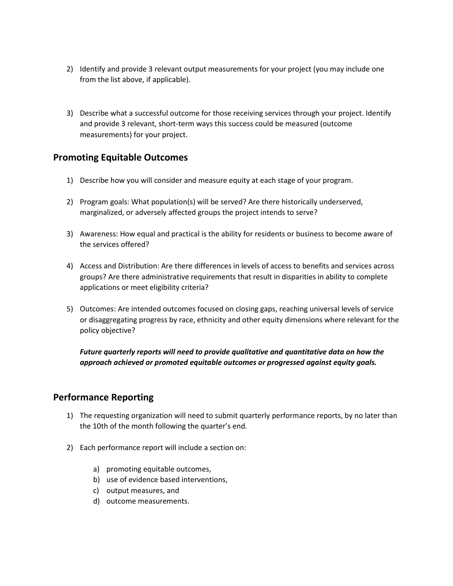- 2) Identify and provide 3 relevant output measurements for your project (you may include one from the list above, if applicable).
- 3) Describe what a successful outcome for those receiving services through your project. Identify and provide 3 relevant, short-term ways this success could be measured (outcome measurements) for your project.

### **Promoting Equitable Outcomes**

- 1) Describe how you will consider and measure equity at each stage of your program.
- 2) Program goals: What population(s) will be served? Are there historically underserved, marginalized, or adversely affected groups the project intends to serve?
- 3) Awareness: How equal and practical is the ability for residents or business to become aware of the services offered?
- 4) Access and Distribution: Are there differences in levels of access to benefits and services across groups? Are there administrative requirements that result in disparities in ability to complete applications or meet eligibility criteria?
- 5) Outcomes: Are intended outcomes focused on closing gaps, reaching universal levels of service or disaggregating progress by race, ethnicity and other equity dimensions where relevant for the policy objective?

*Future quarterly reports will need to provide qualitative and quantitative data on how the approach achieved or promoted equitable outcomes or progressed against equity goals.* 

#### **Performance Reporting**

- 1) The requesting organization will need to submit quarterly performance reports, by no later than the 10th of the month following the quarter's end.
- 2) Each performance report will include a section on:
	- a) promoting equitable outcomes,
	- b) use of evidence based interventions,
	- c) output measures, and
	- d) outcome measurements.